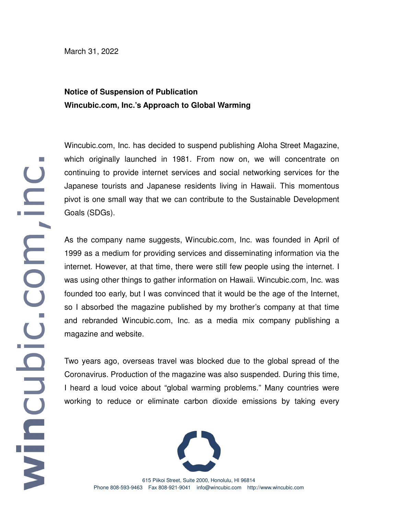March 31, 2022

## **Notice of Suspension of Publication Wincubic.com, Inc.'s Approach to Global Warming**

Wincubic.com, Inc. has decided to suspend publishing Aloha Street Magazine, which originally launched in 1981. From now on, we will concentrate on continuing to provide internet services and social networking services for the Japanese tourists and Japanese residents living in Hawaii. This momentous pivot is one small way that we can contribute to the Sustainable Development Goals (SDGs).

As the company name suggests, Wincubic.com, Inc. was founded in April of 1999 as a medium for providing services and disseminating information via the internet. However, at that time, there were still few people using the internet. I was using other things to gather information on Hawaii. Wincubic.com, Inc. was founded too early, but I was convinced that it would be the age of the Internet, so I absorbed the magazine published by my brother's company at that time and rebranded Wincubic.com, Inc. as a media mix company publishing a magazine and website.

Two years ago, overseas travel was blocked due to the global spread of the Coronavirus. Production of the magazine was also suspended. During this time, I heard a loud voice about "global warming problems." Many countries were working to reduce or eliminate carbon dioxide emissions by taking every



615 Piikoi Street, Suite 2000, Honolulu, HI 96814 Phone 808-593-9463 Fax 808-921-9041 info@wincubic.com http://www.wincubic.com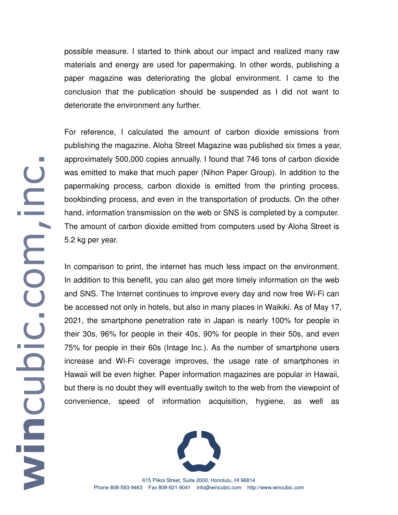possible measure. I started to think about our impact and realized many raw materials and energy are used for papermaking. In other words, publishing a paper magazine was deteriorating the global environment. I came to the conclusion that the publication should be suspended as I did not want to deteriorate the environment any further.

For reference, I calculated the amount of carbon dioxide emissions from publishing the magazine. Aloha Street Magazine was published six times a year, approximately 500,000 copies annually. I found that 746 tons of carbon dioxide was emitted to make that much paper (Nihon Paper Group). In addition to the papermaking process, carbon dioxide is emitted from the printing process, bookbinding process, and even in the transportation of products. On the other hand, information transmission on the web or SNS is completed by a computer. The amount of carbon dioxide emitted from computers used by Aloha Street is 5.2 kg per year.

In comparison to print, the internet has much less impact on the environment. In addition to this benefit, you can also get more timely information on the web and SNS. The Internet continues to improve every day and now free Wi-Fi can be accessed not only in hotels, but also in many places in Waikiki. As of May 17, 2021, the smartphone penetration rate in Japan is nearly 100% for people in their 30s, 96% for people in their 40s, 90% for people in their 50s, and even 75% for people in their 60s (Intage Inc.). As the number of smartphone users increase and Wi-Fi coverage improves, the usage rate of smartphones in Hawaii will be even higher. Paper information magazines are popular in Hawaii, but there is no doubt they will eventually switch to the web from the viewpoint of convenience, speed of information acquisition, hygiene, as well as



615 Piikoi Street, Suite 2000, Honolulu, HI 96814 Phone 808-593-9463 Fax 808-921-9041 info@wincubic.com http://www.wincubic.com